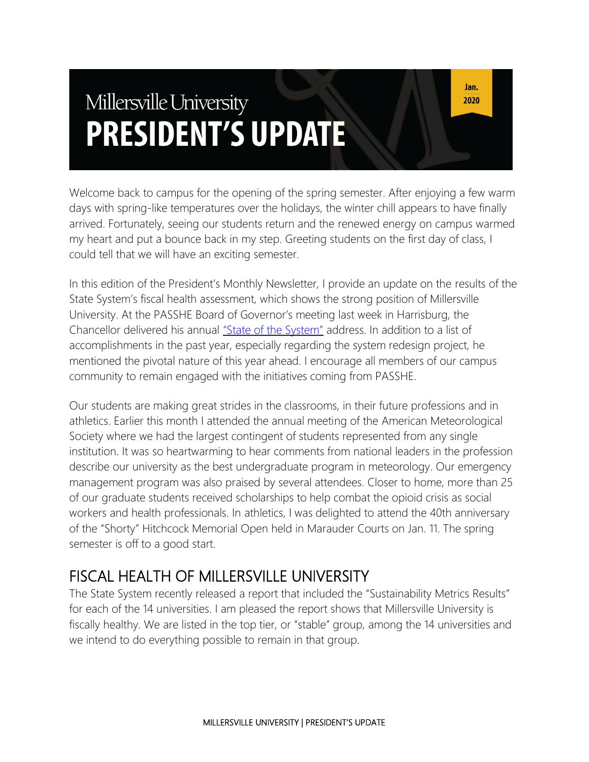# Millersville University **PRESIDENT'S UPDATE**

Welcome back to campus for the opening of the spring semester. After enjoying a few warm days with spring-like temperatures over the holidays, the winter chill appears to have finally arrived. Fortunately, seeing our students return and the renewed energy on campus warmed my heart and put a bounce back in my step. Greeting students on the first day of class, I could tell that we will have an exciting semester.

In this edition of the President's Monthly Newsletter, I provide an update on the results of the State System's fiscal health assessment, which shows the strong position of Millersville University. At the PASSHE Board of Governor's meeting last week in Harrisburg, the Chancellor delivered his annual ["State of the System"](https://chancellorgreenstein.blogspot.com/2020/01/the-state-of-our-system.html) address. In addition to a list of accomplishments in the past year, especially regarding the system redesign project, he mentioned the pivotal nature of this year ahead. I encourage all members of our campus community to remain engaged with the initiatives coming from PASSHE.

Our students are making great strides in the classrooms, in their future professions and in athletics. Earlier this month I attended the annual meeting of the American Meteorological Society where we had the largest contingent of students represented from any single institution. It was so heartwarming to hear comments from national leaders in the profession describe our university as the best undergraduate program in meteorology. Our emergency management program was also praised by several attendees. Closer to home, more than 25 of our graduate students received scholarships to help combat the opioid crisis as social workers and health professionals. In athletics, I was delighted to attend the 40th anniversary of the "Shorty" Hitchcock Memorial Open held in Marauder Courts on Jan. 11. The spring semester is off to a good start.

# FISCAL HEALTH OF MILLERSVILLE UNIVERSITY

The State System recently released a report that included the "Sustainability Metrics Results" for each of the 14 universities. I am pleased the report shows that Millersville University is fiscally healthy. We are listed in the top tier, or "stable" group, among the 14 universities and we intend to do everything possible to remain in that group.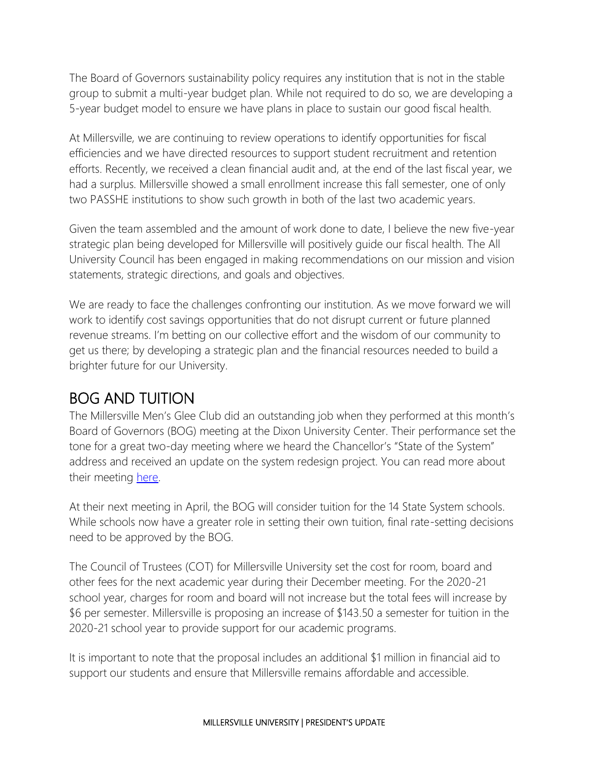The Board of Governors sustainability policy requires any institution that is not in the stable group to submit a multi-year budget plan. While not required to do so, we are developing a 5-year budget model to ensure we have plans in place to sustain our good fiscal health.

At Millersville, we are continuing to review operations to identify opportunities for fiscal efficiencies and we have directed resources to support student recruitment and retention efforts. Recently, we received a clean financial audit and, at the end of the last fiscal year, we had a surplus. Millersville showed a small enrollment increase this fall semester, one of only two PASSHE institutions to show such growth in both of the last two academic years.

Given the team assembled and the amount of work done to date, I believe the new five-year strategic plan being developed for Millersville will positively guide our fiscal health. The All University Council has been engaged in making recommendations on our mission and vision statements, strategic directions, and goals and objectives.

We are ready to face the challenges confronting our institution. As we move forward we will work to identify cost savings opportunities that do not disrupt current or future planned revenue streams. I'm betting on our collective effort and the wisdom of our community to get us there; by developing a strategic plan and the financial resources needed to build a brighter future for our University.

#### BOG AND TUITION

The Millersville Men's Glee Club did an outstanding job when they performed at this month's Board of Governors (BOG) meeting at the Dixon University Center. Their performance set the tone for a great two-day meeting where we heard the Chancellor's "State of the System" address and received an update on the system redesign project. You can read more about their meeting [here.](https://chancellorgreenstein.blogspot.com/2020/01/the-state-of-our-system.html)

At their next meeting in April, the BOG will consider tuition for the 14 State System schools. While schools now have a greater role in setting their own tuition, final rate-setting decisions need to be approved by the BOG.

The Council of Trustees (COT) for Millersville University set the cost for room, board and other fees for the next academic year during their December meeting. For the 2020-21 school year, charges for room and board will not increase but the total fees will increase by \$6 per semester. Millersville is proposing an increase of \$143.50 a semester for tuition in the 2020-21 school year to provide support for our academic programs.

It is important to note that the proposal includes an additional \$1 million in financial aid to support our students and ensure that Millersville remains affordable and accessible.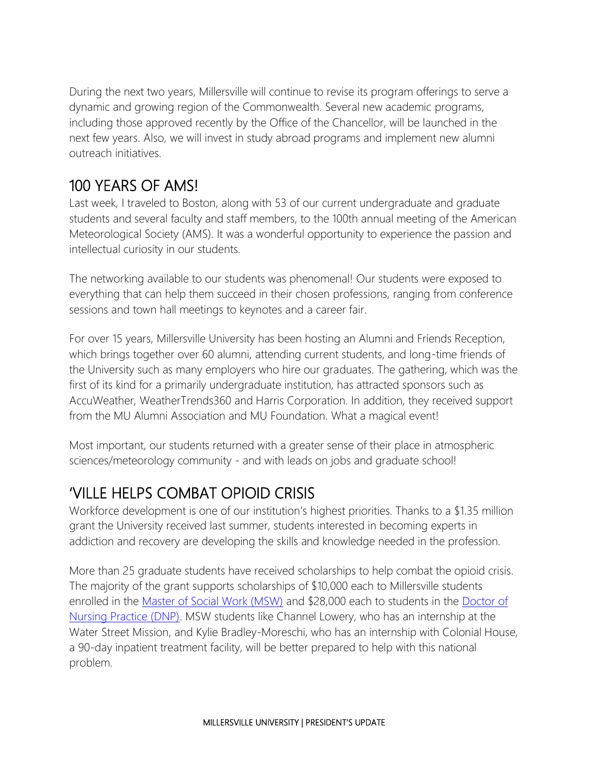During the next two years, Millersville will continue to revise its program offerings to serve a dynamic and growing region of the Commonwealth. Several new academic programs, including those approved recently by the Office of the Chancellor, will be launched in the next few years. Also, we will invest in study abroad programs and implement new alumni outreach initiatives.

### 100 YEARS OF AMS!

Last week, I traveled to Boston, along with 53 of our current undergraduate and graduate students and several faculty and staff members, to the 100th annual meeting of the American Meteorological Society (AMS). It was a wonderful opportunity to experience the passion and intellectual curiosity in our students.

The networking available to our students was phenomenal! Our students were exposed to everything that can help them succeed in their chosen professions, ranging from conference sessions and town hall meetings to keynotes and a career fair.

For over 15 years, Millersville University has been hosting an Alumni and Friends Reception, which brings together over 60 alumni, attending current students, and long-time friends of the University such as many employers who hire our graduates. The gathering, which was the first of its kind for a primarily undergraduate institution, has attracted sponsors such as AccuWeather, WeatherTrends360 and Harris Corporation. In addition, they received support from the MU Alumni Association and MU Foundation. What a magical event!

Most important, our students returned with a greater sense of their place in atmospheric sciences/meteorology community - and with leads on jobs and graduate school!

# 'VILLE HELPS COMBAT OPIOID CRISIS

Workforce development is one of our institution's highest priorities. Thanks to a \$1.35 million grant the University received last summer, students interested in becoming experts in addiction and recovery are developing the skills and knowledge needed in the profession.

More than 25 graduate students have received scholarships to help combat the opioid crisis. The majority of the grant supports scholarships of \$10,000 each to Millersville students enrolled in the [Master of Social Work \(MSW\)](https://www.millersville.edu/socialwork/msw/index.php) and \$28,000 each to students in the Doctor of [Nursing Practice \(DNP\).](https://www.millersville.edu/nursing/dnp.php) MSW students like Channel Lowery, who has an internship at the Water Street Mission, and Kylie Bradley-Moreschi, who has an internship with Colonial House, a 90-day inpatient treatment facility, will be better prepared to help with this national problem.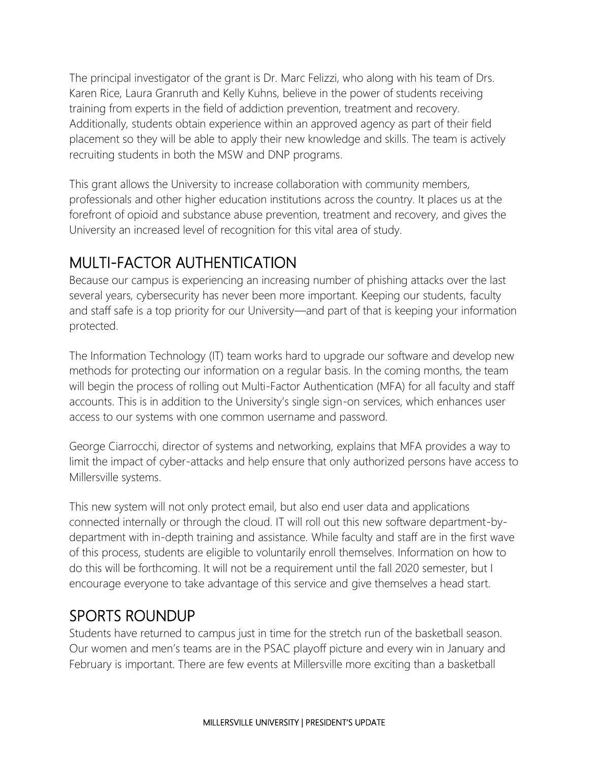The principal investigator of the grant is Dr. Marc Felizzi, who along with his team of Drs. Karen Rice, Laura Granruth and Kelly Kuhns, believe in the power of students receiving training from experts in the field of addiction prevention, treatment and recovery. Additionally, students obtain experience within an approved agency as part of their field placement so they will be able to apply their new knowledge and skills. The team is actively recruiting students in both the MSW and DNP programs.

This grant allows the University to increase collaboration with community members, professionals and other higher education institutions across the country. It places us at the forefront of opioid and substance abuse prevention, treatment and recovery, and gives the University an increased level of recognition for this vital area of study.

#### MULTI-FACTOR AUTHENTICATION

Because our campus is experiencing an increasing number of phishing attacks over the last several years, cybersecurity has never been more important. Keeping our students, faculty and staff safe is a top priority for our University—and part of that is keeping your information protected.

The Information Technology (IT) team works hard to upgrade our software and develop new methods for protecting our information on a regular basis. In the coming months, the team will begin the process of rolling out Multi-Factor Authentication (MFA) for all faculty and staff accounts. This is in addition to the University's single sign-on services, which enhances user access to our systems with one common username and password.

George Ciarrocchi, director of systems and networking, explains that MFA provides a way to limit the impact of cyber-attacks and help ensure that only authorized persons have access to Millersville systems.

This new system will not only protect email, but also end user data and applications connected internally or through the cloud. IT will roll out this new software department-bydepartment with in-depth training and assistance. While faculty and staff are in the first wave of this process, students are eligible to voluntarily enroll themselves. Information on how to do this will be forthcoming. It will not be a requirement until the fall 2020 semester, but I encourage everyone to take advantage of this service and give themselves a head start.

#### SPORTS ROUNDUP

Students have returned to campus just in time for the stretch run of the basketball season. Our women and men's teams are in the PSAC playoff picture and every win in January and February is important. There are few events at Millersville more exciting than a basketball